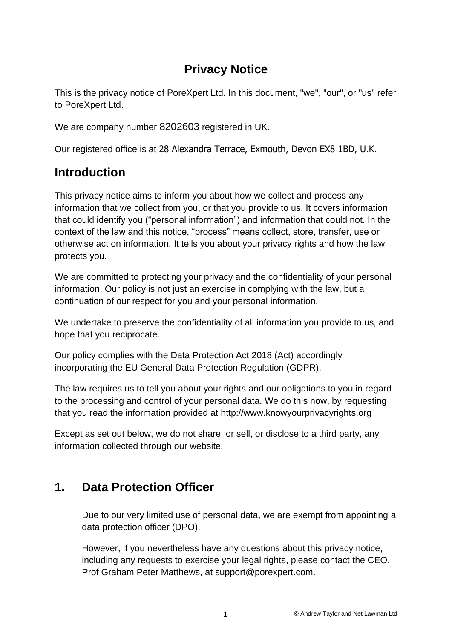# **Privacy Notice**

This is the privacy notice of PoreXpert Ltd. In this document, "we", "our", or "us" refer to PoreXpert Ltd.

We are company number 8202603 registered in UK.

Our registered office is at 28 Alexandra Terrace, Exmouth, Devon EX8 1BD, U.K.

# **Introduction**

This privacy notice aims to inform you about how we collect and process any information that we collect from you, or that you provide to us. It covers information that could identify you ("personal information") and information that could not. In the context of the law and this notice, "process" means collect, store, transfer, use or otherwise act on information. It tells you about your privacy rights and how the law protects you.

We are committed to protecting your privacy and the confidentiality of your personal information. Our policy is not just an exercise in complying with the law, but a continuation of our respect for you and your personal information.

We undertake to preserve the confidentiality of all information you provide to us, and hope that you reciprocate.

Our policy complies with the Data Protection Act 2018 (Act) accordingly incorporating the EU General Data Protection Regulation (GDPR).

The law requires us to tell you about your rights and our obligations to you in regard to the processing and control of your personal data. We do this now, by requesting that you read the information provided at [http://www.knowyourprivacyrights.org](http://www.knowyourprivacyrights.org/)

Except as set out below, we do not share, or sell, or disclose to a third party, any information collected through our website.

# **1. Data Protection Officer**

Due to our very limited use of personal data, we are exempt from appointing a data protection officer (DPO).

However, if you nevertheless have any questions about this privacy notice, including any requests to exercise your legal rights, please contact the CEO, Prof Graham Peter Matthews, at support@porexpert.com.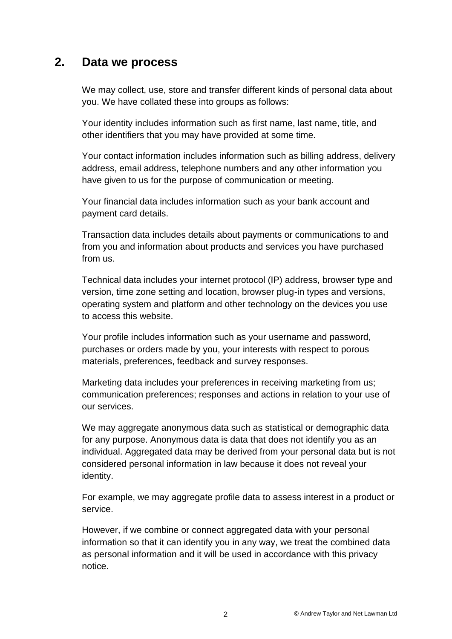#### **2. Data we process**

We may collect, use, store and transfer different kinds of personal data about you. We have collated these into groups as follows:

Your identity includes information such as first name, last name, title, and other identifiers that you may have provided at some time.

Your contact information includes information such as billing address, delivery address, email address, telephone numbers and any other information you have given to us for the purpose of communication or meeting.

Your financial data includes information such as your bank account and payment card details.

Transaction data includes details about payments or communications to and from you and information about products and services you have purchased from us.

Technical data includes your internet protocol (IP) address, browser type and version, time zone setting and location, browser plug-in types and versions, operating system and platform and other technology on the devices you use to access this website.

Your profile includes information such as your username and password, purchases or orders made by you, your interests with respect to porous materials, preferences, feedback and survey responses.

Marketing data includes your preferences in receiving marketing from us; communication preferences; responses and actions in relation to your use of our services.

We may aggregate anonymous data such as statistical or demographic data for any purpose. Anonymous data is data that does not identify you as an individual. Aggregated data may be derived from your personal data but is not considered personal information in law because it does not reveal your identity.

For example, we may aggregate profile data to assess interest in a product or service.

However, if we combine or connect aggregated data with your personal information so that it can identify you in any way, we treat the combined data as personal information and it will be used in accordance with this privacy notice.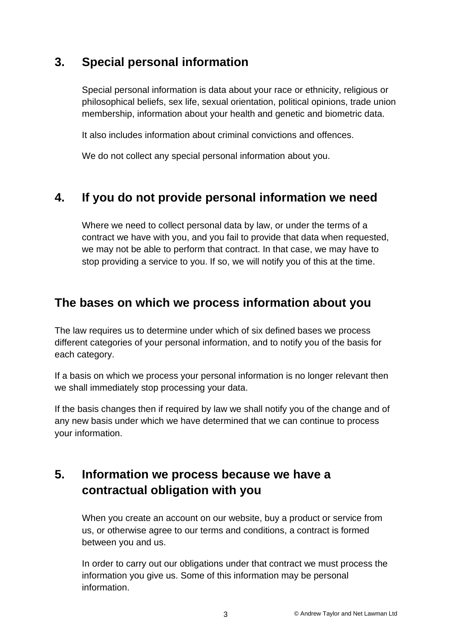# **3. Special personal information**

Special personal information is data about your race or ethnicity, religious or philosophical beliefs, sex life, sexual orientation, political opinions, trade union membership, information about your health and genetic and biometric data.

It also includes information about criminal convictions and offences.

We do not collect any special personal information about you.

# **4. If you do not provide personal information we need**

Where we need to collect personal data by law, or under the terms of a contract we have with you, and you fail to provide that data when requested, we may not be able to perform that contract. In that case, we may have to stop providing a service to you. If so, we will notify you of this at the time.

### **The bases on which we process information about you**

The law requires us to determine under which of six defined bases we process different categories of your personal information, and to notify you of the basis for each category.

If a basis on which we process your personal information is no longer relevant then we shall immediately stop processing your data.

If the basis changes then if required by law we shall notify you of the change and of any new basis under which we have determined that we can continue to process your information.

# **5. Information we process because we have a contractual obligation with you**

When you create an account on our website, buy a product or service from us, or otherwise agree to our terms and conditions, a contract is formed between you and us.

In order to carry out our obligations under that contract we must process the information you give us. Some of this information may be personal information.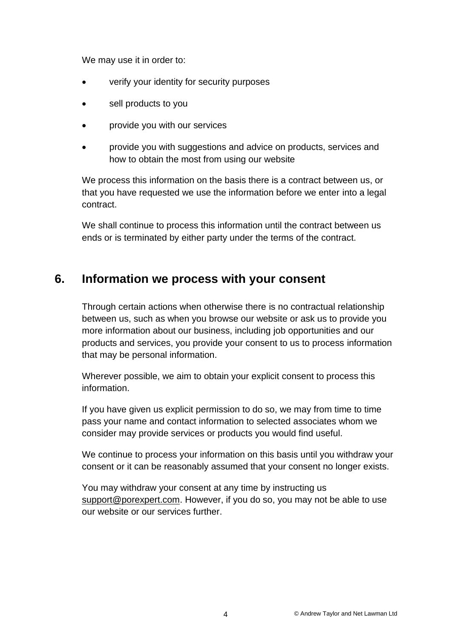We may use it in order to:

- verify your identity for security purposes
- sell products to you
- provide you with our services
- provide you with suggestions and advice on products, services and how to obtain the most from using our website

We process this information on the basis there is a contract between us, or that you have requested we use the information before we enter into a legal contract.

We shall continue to process this information until the contract between us ends or is terminated by either party under the terms of the contract.

### **6. Information we process with your consent**

Through certain actions when otherwise there is no contractual relationship between us, such as when you browse our website or ask us to provide you more information about our business, including job opportunities and our products and services, you provide your consent to us to process information that may be personal information.

Wherever possible, we aim to obtain your explicit consent to process this information.

If you have given us explicit permission to do so, we may from time to time pass your name and contact information to selected associates whom we consider may provide services or products you would find useful.

We continue to process your information on this basis until you withdraw your consent or it can be reasonably assumed that your consent no longer exists.

You may withdraw your consent at any time by instructing us [support@porexpert.com.](mailto:support@porexpert.com) However, if you do so, you may not be able to use our website or our services further.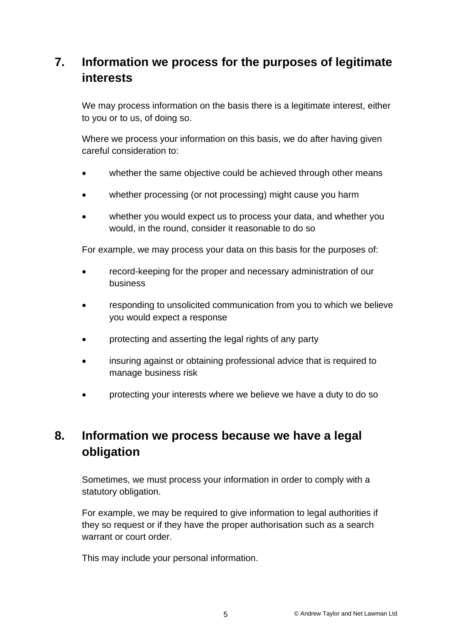# **7. Information we process for the purposes of legitimate interests**

We may process information on the basis there is a legitimate interest, either to you or to us, of doing so.

Where we process your information on this basis, we do after having given careful consideration to:

- whether the same objective could be achieved through other means
- whether processing (or not processing) might cause you harm
- whether you would expect us to process your data, and whether you would, in the round, consider it reasonable to do so

For example, we may process your data on this basis for the purposes of:

- record-keeping for the proper and necessary administration of our business
- responding to unsolicited communication from you to which we believe you would expect a response
- protecting and asserting the legal rights of any party
- insuring against or obtaining professional advice that is required to manage business risk
- protecting your interests where we believe we have a duty to do so

# **8. Information we process because we have a legal obligation**

Sometimes, we must process your information in order to comply with a statutory obligation.

For example, we may be required to give information to legal authorities if they so request or if they have the proper authorisation such as a search warrant or court order

This may include your personal information.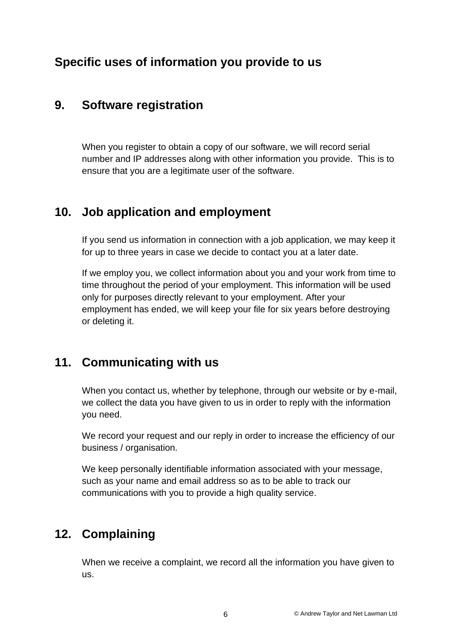# **Specific uses of information you provide to us**

#### **9. Software registration**

When you register to obtain a copy of our software, we will record serial number and IP addresses along with other information you provide. This is to ensure that you are a legitimate user of the software.

### **10. Job application and employment**

If you send us information in connection with a job application, we may keep it for up to three years in case we decide to contact you at a later date.

If we employ you, we collect information about you and your work from time to time throughout the period of your employment. This information will be used only for purposes directly relevant to your employment. After your employment has ended, we will keep your file for six years before destroying or deleting it.

### **11. Communicating with us**

When you contact us, whether by telephone, through our website or by e-mail, we collect the data you have given to us in order to reply with the information you need.

We record your request and our reply in order to increase the efficiency of our business / organisation.

We keep personally identifiable information associated with your message, such as your name and email address so as to be able to track our communications with you to provide a high quality service.

### **12. Complaining**

When we receive a complaint, we record all the information you have given to us.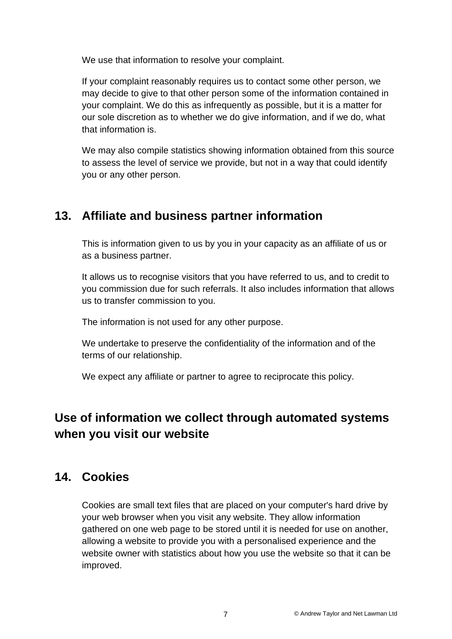We use that information to resolve your complaint.

If your complaint reasonably requires us to contact some other person, we may decide to give to that other person some of the information contained in your complaint. We do this as infrequently as possible, but it is a matter for our sole discretion as to whether we do give information, and if we do, what that information is.

We may also compile statistics showing information obtained from this source to assess the level of service we provide, but not in a way that could identify you or any other person.

# **13. Affiliate and business partner information**

This is information given to us by you in your capacity as an affiliate of us or as a business partner.

It allows us to recognise visitors that you have referred to us, and to credit to you commission due for such referrals. It also includes information that allows us to transfer commission to you.

The information is not used for any other purpose.

We undertake to preserve the confidentiality of the information and of the terms of our relationship.

We expect any affiliate or partner to agree to reciprocate this policy.

# **Use of information we collect through automated systems when you visit our website**

# **14. Cookies**

Cookies are small text files that are placed on your computer's hard drive by your web browser when you visit any website. They allow information gathered on one web page to be stored until it is needed for use on another, allowing a website to provide you with a personalised experience and the website owner with statistics about how you use the website so that it can be improved.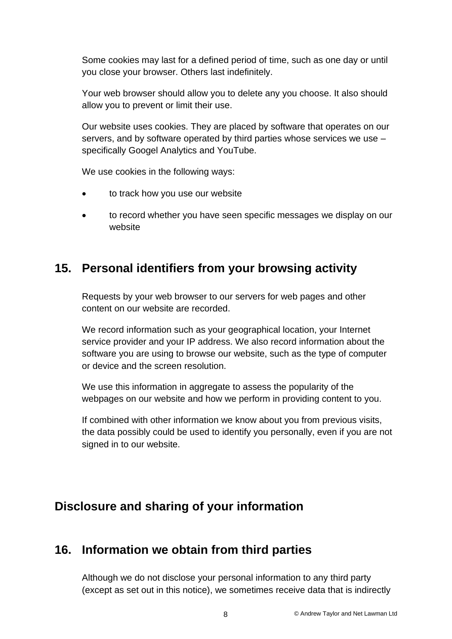Some cookies may last for a defined period of time, such as one day or until you close your browser. Others last indefinitely.

Your web browser should allow you to delete any you choose. It also should allow you to prevent or limit their use.

Our website uses cookies. They are placed by software that operates on our servers, and by software operated by third parties whose services we use – specifically Googel Analytics and YouTube.

We use cookies in the following ways:

- to track how you use our website
- to record whether you have seen specific messages we display on our website

### **15. Personal identifiers from your browsing activity**

Requests by your web browser to our servers for web pages and other content on our website are recorded.

We record information such as your geographical location, your Internet service provider and your IP address. We also record information about the software you are using to browse our website, such as the type of computer or device and the screen resolution.

We use this information in aggregate to assess the popularity of the webpages on our website and how we perform in providing content to you.

If combined with other information we know about you from previous visits, the data possibly could be used to identify you personally, even if you are not signed in to our website.

# **Disclosure and sharing of your information**

# **16. Information we obtain from third parties**

Although we do not disclose your personal information to any third party (except as set out in this notice), we sometimes receive data that is indirectly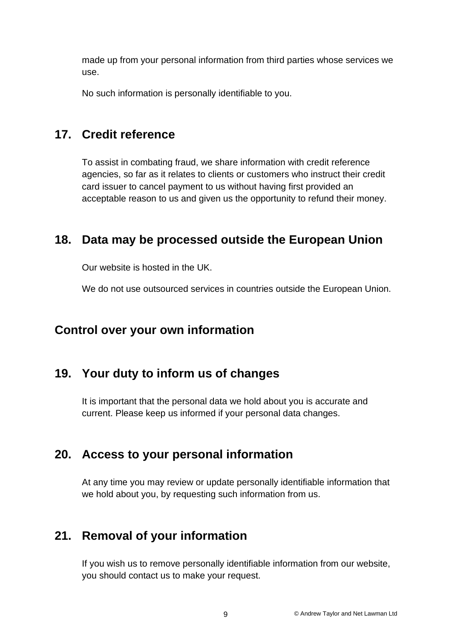made up from your personal information from third parties whose services we use.

No such information is personally identifiable to you.

### **17. Credit reference**

To assist in combating fraud, we share information with credit reference agencies, so far as it relates to clients or customers who instruct their credit card issuer to cancel payment to us without having first provided an acceptable reason to us and given us the opportunity to refund their money.

#### **18. Data may be processed outside the European Union**

Our website is hosted in the UK.

We do not use outsourced services in countries outside the European Union.

### **Control over your own information**

### **19. Your duty to inform us of changes**

It is important that the personal data we hold about you is accurate and current. Please keep us informed if your personal data changes.

#### **20. Access to your personal information**

At any time you may review or update personally identifiable information that we hold about you, by requesting such information from us.

### **21. Removal of your information**

If you wish us to remove personally identifiable information from our website, you should contact us to make your request.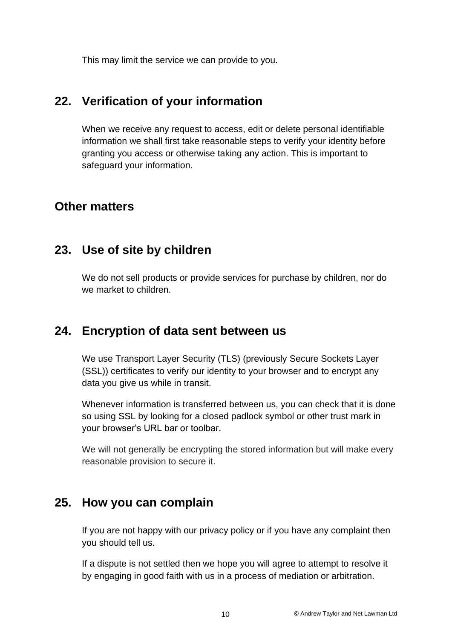This may limit the service we can provide to you.

#### **22. Verification of your information**

When we receive any request to access, edit or delete personal identifiable information we shall first take reasonable steps to verify your identity before granting you access or otherwise taking any action. This is important to safeguard your information.

#### **Other matters**

#### **23. Use of site by children**

We do not sell products or provide services for purchase by children, nor do we market to children.

#### **24. Encryption of data sent between us**

We use Transport Layer Security (TLS) (previously Secure Sockets Layer (SSL)) certificates to verify our identity to your browser and to encrypt any data you give us while in transit.

Whenever information is transferred between us, you can check that it is done so using SSL by looking for a closed padlock symbol or other trust mark in your browser's URL bar or toolbar.

We will not generally be encrypting the stored information but will make every reasonable provision to secure it.

#### **25. How you can complain**

If you are not happy with our privacy policy or if you have any complaint then you should tell us.

If a dispute is not settled then we hope you will agree to attempt to resolve it by engaging in good faith with us in a process of mediation or arbitration.